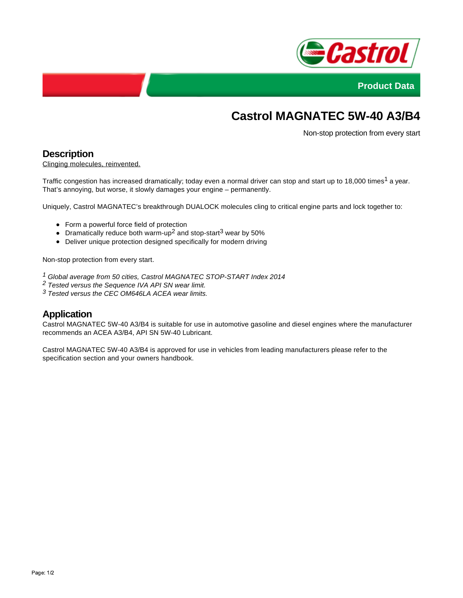



# **Castrol MAGNATEC 5W-40 A3/B4**

Non-stop protection from every start

### **Description**

Clinging molecules, reinvented.

Traffic congestion has increased dramatically; today even a normal driver can stop and start up to 18,000 times<sup>1</sup> a year. That's annoying, but worse, it slowly damages your engine – permanently.

Uniquely, Castrol MAGNATEC's breakthrough DUALOCK molecules cling to critical engine parts and lock together to:

- Form a powerful force field of protection
- Dramatically reduce both warm-up<sup>2</sup> and stop-start<sup>3</sup> wear by 50%
- Deliver unique protection designed specifically for modern driving

Non-stop protection from every start.

- 1 Global average from 50 cities, Castrol MAGNATEC STOP-START Index 2014
- 2 Tested versus the Sequence IVA API SN wear limit.
- $3$  Tested versus the CEC OM646LA ACEA wear limits.

## **Application**

Castrol MAGNATEC 5W-40 A3/B4 is suitable for use in automotive gasoline and diesel engines where the manufacturer recommends an ACEA A3/B4, API SN 5W-40 Lubricant.

Castrol MAGNATEC 5W-40 A3/B4 is approved for use in vehicles from leading manufacturers please refer to the specification section and your owners handbook.